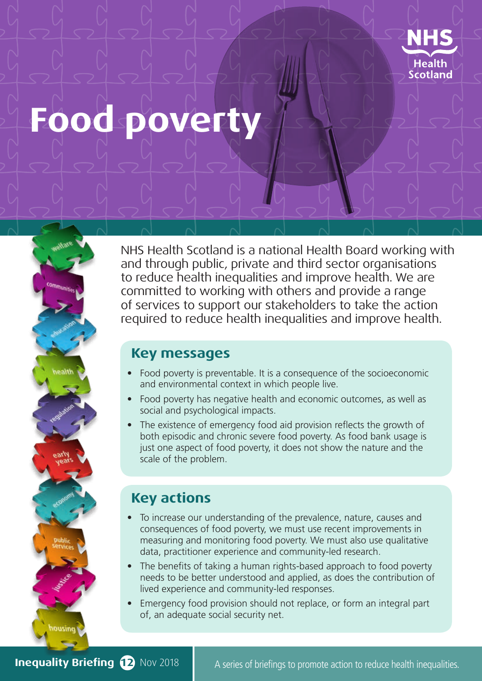

# **Food poverty**



## **Key messages**

- Food poverty is preventable. It is a consequence of the socioeconomic and environmental context in which people live.
- Food poverty has negative health and economic outcomes, as well as social and psychological impacts.
- The existence of emergency food aid provision reflects the growth of both episodic and chronic severe food poverty. As food bank usage is just one aspect of food poverty, it does not show the nature and the scale of the problem.

# **Key actions**

- To increase our understanding of the prevalence, nature, causes and consequences of food poverty, we must use recent improvements in measuring and monitoring food poverty. We must also use qualitative data, practitioner experience and community-led research.
- The benefits of taking a human rights-based approach to food poverty needs to be better understood and applied, as does the contribution of lived experience and community-led responses.
- Emergency food provision should not replace, or form an integral part of, an adequate social security net.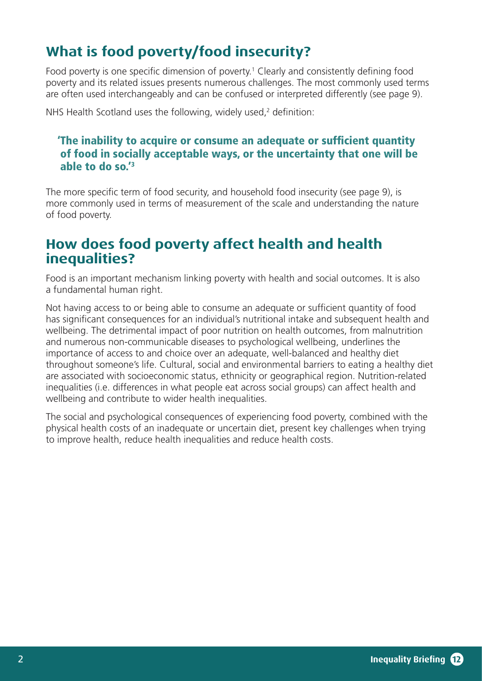# **What is food poverty/food insecurity?**

Food poverty is one specific dimension of poverty.<sup>1</sup> Clearly and consistently defining food poverty and its related issues presents numerous challenges. The most commonly used terms are often used interchangeably and can be confused or interpreted differently (see page 9).

NHS Health Scotland uses the following, widely used, $2$  definition:

#### 'The inability to acquire or consume an adequate or sufficient quantity of food in socially acceptable ways, or the uncertainty that one will be able to do so.'3

The more specific term of food security, and household food insecurity (see page 9), is more commonly used in terms of measurement of the scale and understanding the nature of food poverty.

# **How does food poverty affect health and health inequalities?**

Food is an important mechanism linking poverty with health and social outcomes. It is also a fundamental human right.

Not having access to or being able to consume an adequate or sufficient quantity of food has significant consequences for an individual's nutritional intake and subsequent health and wellbeing. The detrimental impact of poor nutrition on health outcomes, from malnutrition and numerous non-communicable diseases to psychological wellbeing, underlines the importance of access to and choice over an adequate, well-balanced and healthy diet throughout someone's life. Cultural, social and environmental barriers to eating a healthy diet are associated with socioeconomic status, ethnicity or geographical region. Nutrition-related inequalities (i.e. differences in what people eat across social groups) can affect health and wellbeing and contribute to wider health inequalities.

The social and psychological consequences of experiencing food poverty, combined with the physical health costs of an inadequate or uncertain diet, present key challenges when trying to improve health, reduce health inequalities and reduce health costs.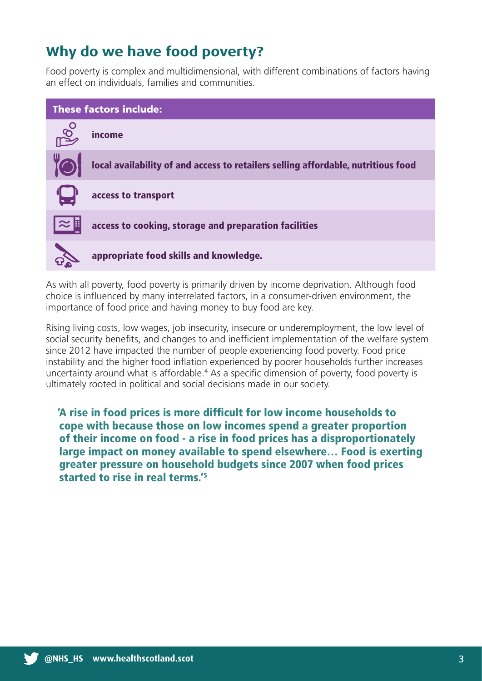# **Why do we have food poverty?**

Food poverty is complex and multidimensional, with different combinations of factors having an effect on individuals, families and communities.



As with all poverty, food poverty is primarily driven by income deprivation. Although food choice is influenced by many interrelated factors, in a consumer-driven environment, the importance of food price and having money to buy food are key.

Rising living costs, low wages, job insecurity, insecure or underemployment, the low level of social security benefits, and changes to and inefficient implementation of the welfare system since 2012 have impacted the number of people experiencing food poverty. Food price instability and the higher food inflation experienced by poorer households further increases uncertainty around what is affordable.<sup>4</sup> As a specific dimension of poverty, food poverty is ultimately rooted in political and social decisions made in our society.

'A rise in food prices is more difficult for low income households to cope with because those on low incomes spend a greater proportion of their income on food - a rise in food prices has a disproportionately large impact on money available to spend elsewhere… Food is exerting greater pressure on household budgets since 2007 when food prices started to rise in real terms.'5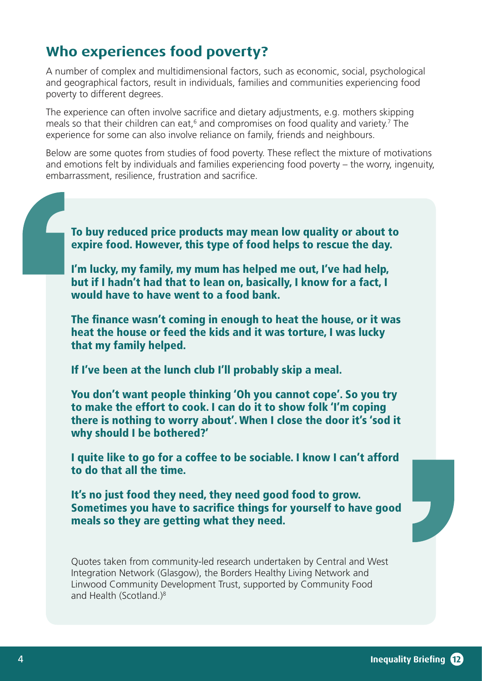# **Who experiences food poverty?**

A number of complex and multidimensional factors, such as economic, social, psychological and geographical factors, result in individuals, families and communities experiencing food poverty to different degrees.

The experience can often involve sacrifice and dietary adjustments, e.g. mothers skipping meals so that their children can eat,<sup>6</sup> and compromises on food quality and variety.<sup>7</sup> The experience for some can also involve reliance on family, friends and neighbours.

Below are some quotes from studies of food poverty. These reflect the mixture of motivations and emotions felt by individuals and families experiencing food poverty – the worry, ingenuity, embarrassment, resilience, frustration and sacrifice.

To buy reduced price products may mean low quality or about to expire food. However, this type of food helps to rescue the day.

I'm lucky, my family, my mum has helped me out, I've had help, but if I hadn't had that to lean on, basically, I know for a fact, I would have to have went to a food bank.

The finance wasn't coming in enough to heat the house, or it was heat the house or feed the kids and it was torture, I was lucky that my family helped.

If I've been at the lunch club I'll probably skip a meal.

You don't want people thinking 'Oh you cannot cope'. So you try to make the effort to cook. I can do it to show folk 'I'm coping there is nothing to worry about'. When I close the door it's 'sod it why should I be bothered?'

I quite like to go for a coffee to be sociable. I know I can't afford to do that all the time.

It's no just food they need, they need good food to grow. Sometimes you have to sacrifice things for yourself to have good meals so they are getting what they need.

Quotes taken from community-led research undertaken by Central and West Integration Network (Glasgow), the Borders Healthy Living Network and Linwood Community Development Trust, supported by Community Food and Health (Scotland.)8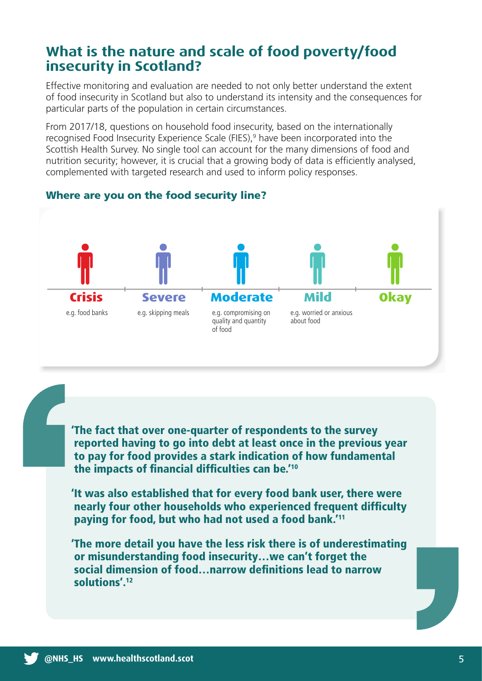# **What is the nature and scale of food poverty/food insecurity in Scotland?**

Effective monitoring and evaluation are needed to not only better understand the extent of food insecurity in Scotland but also to understand its intensity and the consequences for particular parts of the population in certain circumstances.

From 2017/18, questions on household food insecurity, based on the internationally recognised Food Insecurity Experience Scale (FIES),<sup>9</sup> have been incorporated into the Scottish Health Survey. No single tool can account for the many dimensions of food and nutrition security; however, it is crucial that a growing body of data is efficiently analysed, complemented with targeted research and used to inform policy responses.



#### Where are you on the food security line?

'The fact that over one-quarter of respondents to the survey reported having to go into debt at least once in the previous year to pay for food provides a stark indication of how fundamental the impacts of financial difficulties can be.'10

'It was also established that for every food bank user, there were nearly four other households who experienced frequent difficulty paying for food, but who had not used a food bank.'11

'The more detail you have the less risk there is of underestimating or misunderstanding food insecurity…we can't forget the social dimension of food…narrow definitions lead to narrow solutions'.12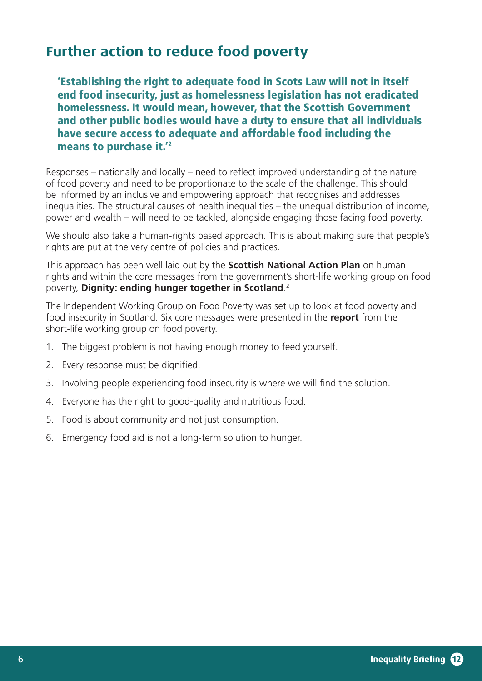# **Further action to reduce food poverty**

'Establishing the right to adequate food in Scots Law will not in itself end food insecurity, just as homelessness legislation has not eradicated homelessness. It would mean, however, that the Scottish Government and other public bodies would have a duty to ensure that all individuals have secure access to adequate and affordable food including the means to purchase it.<sup>'2</sup>

Responses – nationally and locally – need to reflect improved understanding of the nature of food poverty and need to be proportionate to the scale of the challenge. This should be informed by an inclusive and empowering approach that recognises and addresses inequalities. The structural causes of health inequalities – the unequal distribution of income, power and wealth – will need to be tackled, alongside engaging those facing food poverty.

We should also take a human-rights based approach. This is about making sure that people's rights are put at the very centre of policies and practices.

This approach has been well laid out by the **Scottish National Action Plan** on human rights and within the core messages from the government's short-life working group on food poverty, **Dignity: ending hunger together in Scotland**. 2

The Independent Working Group on Food Poverty was set up to look at food poverty and food insecurity in Scotland. Six core messages were presented in the **report** from the short-life working group on food poverty.

- 1. The biggest problem is not having enough money to feed yourself.
- 2. Every response must be dignified.
- 3. Involving people experiencing food insecurity is where we will find the solution.
- 4. Everyone has the right to good-quality and nutritious food.
- 5. Food is about community and not just consumption.
- 6. Emergency food aid is not a long-term solution to hunger.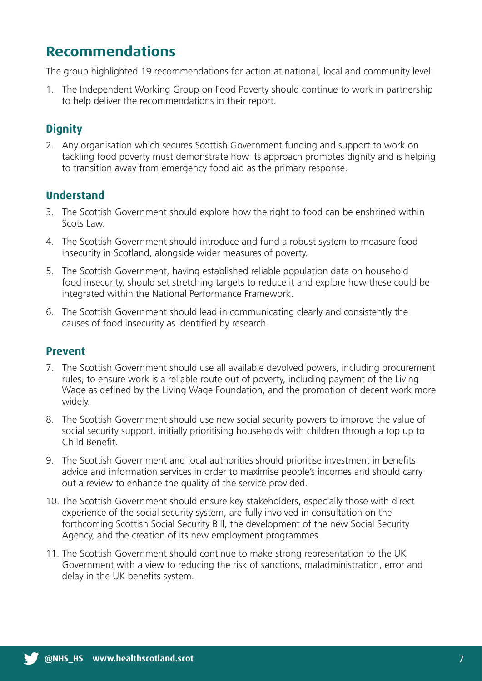# **Recommendations**

The group highlighted 19 recommendations for action at national, local and community level:

1. The Independent Working Group on Food Poverty should continue to work in partnership to help deliver the recommendations in their report.

### **Dignity**

2. Any organisation which secures Scottish Government funding and support to work on tackling food poverty must demonstrate how its approach promotes dignity and is helping to transition away from emergency food aid as the primary response.

#### **Understand**

- 3. The Scottish Government should explore how the right to food can be enshrined within Scots Law.
- 4. The Scottish Government should introduce and fund a robust system to measure food insecurity in Scotland, alongside wider measures of poverty.
- 5. The Scottish Government, having established reliable population data on household food insecurity, should set stretching targets to reduce it and explore how these could be integrated within the National Performance Framework.
- 6. The Scottish Government should lead in communicating clearly and consistently the causes of food insecurity as identified by research.

#### **Prevent**

- 7. The Scottish Government should use all available devolved powers, including procurement rules, to ensure work is a reliable route out of poverty, including payment of the Living Wage as defined by the Living Wage Foundation, and the promotion of decent work more widely.
- 8. The Scottish Government should use new social security powers to improve the value of social security support, initially prioritising households with children through a top up to Child Benefit.
- 9. The Scottish Government and local authorities should prioritise investment in benefits advice and information services in order to maximise people's incomes and should carry out a review to enhance the quality of the service provided.
- 10. The Scottish Government should ensure key stakeholders, especially those with direct experience of the social security system, are fully involved in consultation on the forthcoming Scottish Social Security Bill, the development of the new Social Security Agency, and the creation of its new employment programmes.
- 11. The Scottish Government should continue to make strong representation to the UK Government with a view to reducing the risk of sanctions, maladministration, error and delay in the UK benefits system.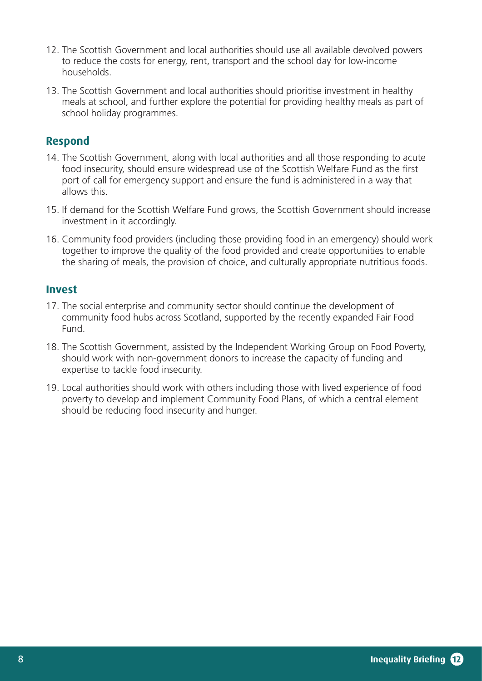- 12. The Scottish Government and local authorities should use all available devolved powers to reduce the costs for energy, rent, transport and the school day for low-income households.
- 13. The Scottish Government and local authorities should prioritise investment in healthy meals at school, and further explore the potential for providing healthy meals as part of school holiday programmes.

#### **Respond**

- 14. The Scottish Government, along with local authorities and all those responding to acute food insecurity, should ensure widespread use of the Scottish Welfare Fund as the first port of call for emergency support and ensure the fund is administered in a way that allows this.
- 15. If demand for the Scottish Welfare Fund grows, the Scottish Government should increase investment in it accordingly.
- 16. Community food providers (including those providing food in an emergency) should work together to improve the quality of the food provided and create opportunities to enable the sharing of meals, the provision of choice, and culturally appropriate nutritious foods.

#### **Invest**

- 17. The social enterprise and community sector should continue the development of community food hubs across Scotland, supported by the recently expanded Fair Food Fund.
- 18. The Scottish Government, assisted by the Independent Working Group on Food Poverty, should work with non-government donors to increase the capacity of funding and expertise to tackle food insecurity.
- 19. Local authorities should work with others including those with lived experience of food poverty to develop and implement Community Food Plans, of which a central element should be reducing food insecurity and hunger.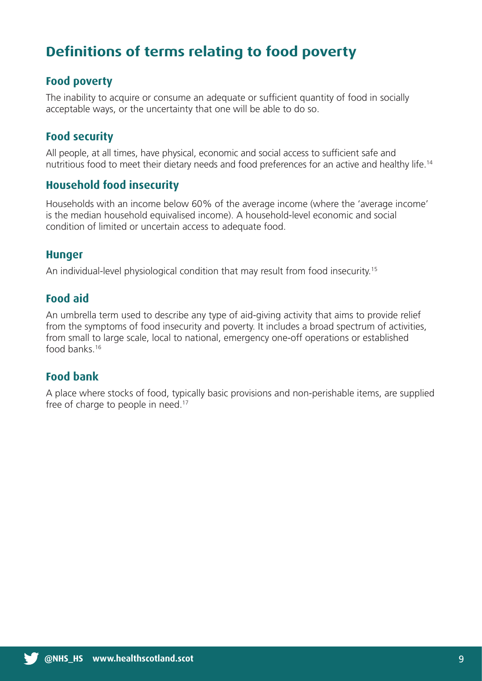# **Definitions of terms relating to food poverty**

#### **Food poverty**

The inability to acquire or consume an adequate or sufficient quantity of food in socially acceptable ways, or the uncertainty that one will be able to do so.

#### **Food security**

All people, at all times, have physical, economic and social access to sufficient safe and nutritious food to meet their dietary needs and food preferences for an active and healthy life.14

#### **Household food insecurity**

Households with an income below 60% of the average income (where the 'average income' is the median household equivalised income). A household-level economic and social condition of limited or uncertain access to adequate food.

#### **Hunger**

An individual-level physiological condition that may result from food insecurity.<sup>15</sup>

#### **Food aid**

An umbrella term used to describe any type of aid-giving activity that aims to provide relief from the symptoms of food insecurity and poverty. It includes a broad spectrum of activities, from small to large scale, local to national, emergency one-off operations or established food banks.16

#### **Food bank**

A place where stocks of food, typically basic provisions and non-perishable items, are supplied free of charge to people in need.<sup>17</sup>